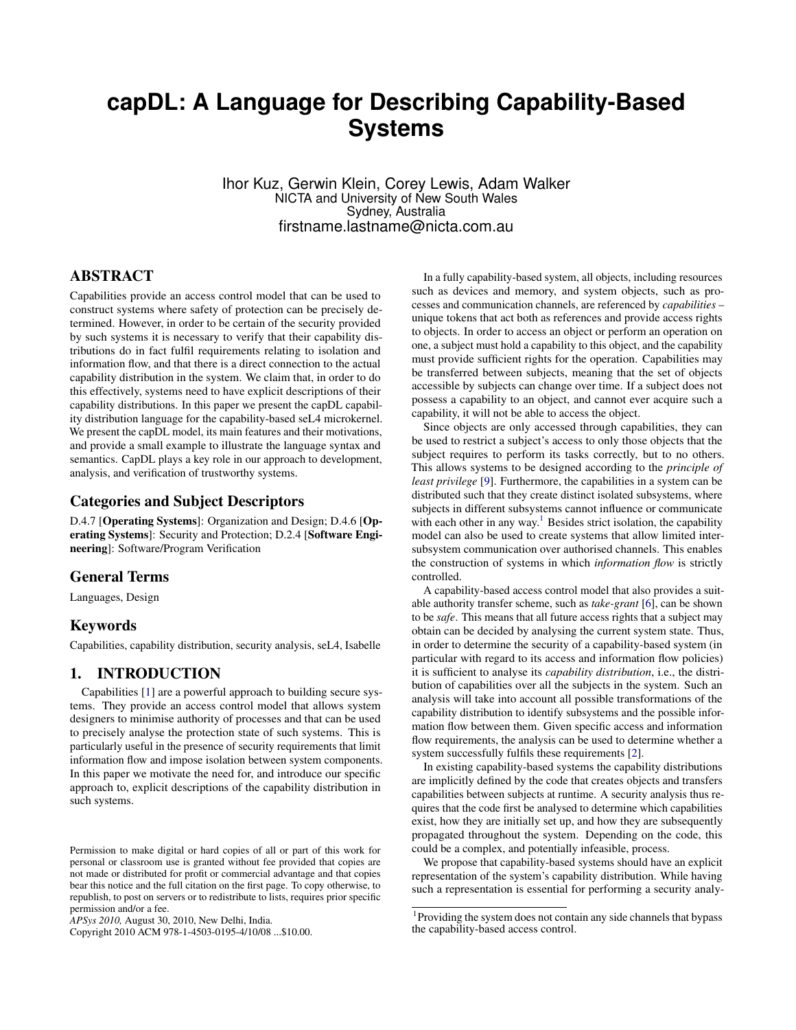# **capDL: A Language for Describing Capability-Based Systems**

Ihor Kuz, Gerwin Klein, Corey Lewis, Adam Walker NICTA and University of New South Wales Sydney, Australia firstname.lastname@nicta.com.au

## ABSTRACT

Capabilities provide an access control model that can be used to construct systems where safety of protection can be precisely determined. However, in order to be certain of the security provided by such systems it is necessary to verify that their capability distributions do in fact fulfil requirements relating to isolation and information flow, and that there is a direct connection to the actual capability distribution in the system. We claim that, in order to do this effectively, systems need to have explicit descriptions of their capability distributions. In this paper we present the capDL capability distribution language for the capability-based seL4 microkernel. We present the capDL model, its main features and their motivations, and provide a small example to illustrate the language syntax and semantics. CapDL plays a key role in our approach to development, analysis, and verification of trustworthy systems.

#### Categories and Subject Descriptors

D.4.7 [Operating Systems]: Organization and Design; D.4.6 [Operating Systems]: Security and Protection; D.2.4 [Software Engineering]: Software/Program Verification

#### General Terms

Languages, Design

#### Keywords

Capabilities, capability distribution, security analysis, seL4, Isabelle

## <span id="page-0-1"></span>1. INTRODUCTION

Capabilities [\[1\]](#page-4-0) are a powerful approach to building secure systems. They provide an access control model that allows system designers to minimise authority of processes and that can be used to precisely analyse the protection state of such systems. This is particularly useful in the presence of security requirements that limit information flow and impose isolation between system components. In this paper we motivate the need for, and introduce our specific approach to, explicit descriptions of the capability distribution in such systems.

Copyright 2010 ACM 978-1-4503-0195-4/10/08 ...\$10.00.

In a fully capability-based system, all objects, including resources such as devices and memory, and system objects, such as processes and communication channels, are referenced by *capabilities* – unique tokens that act both as references and provide access rights to objects. In order to access an object or perform an operation on one, a subject must hold a capability to this object, and the capability must provide sufficient rights for the operation. Capabilities may be transferred between subjects, meaning that the set of objects accessible by subjects can change over time. If a subject does not possess a capability to an object, and cannot ever acquire such a capability, it will not be able to access the object.

Since objects are only accessed through capabilities, they can be used to restrict a subject's access to only those objects that the subject requires to perform its tasks correctly, but to no others. This allows systems to be designed according to the *principle of least privilege* [\[9\]](#page-4-1). Furthermore, the capabilities in a system can be distributed such that they create distinct isolated subsystems, where subjects in different subsystems cannot influence or communicate with each other in any way.<sup>[1](#page-0-0)</sup> Besides strict isolation, the capability model can also be used to create systems that allow limited intersubsystem communication over authorised channels. This enables the construction of systems in which *information flow* is strictly controlled.

A capability-based access control model that also provides a suitable authority transfer scheme, such as *take-grant* [\[6\]](#page-4-2), can be shown to be *safe*. This means that all future access rights that a subject may obtain can be decided by analysing the current system state. Thus, in order to determine the security of a capability-based system (in particular with regard to its access and information flow policies) it is sufficient to analyse its *capability distribution*, i.e., the distribution of capabilities over all the subjects in the system. Such an analysis will take into account all possible transformations of the capability distribution to identify subsystems and the possible information flow between them. Given specific access and information flow requirements, the analysis can be used to determine whether a system successfully fulfils these requirements [\[2\]](#page-4-3).

In existing capability-based systems the capability distributions are implicitly defined by the code that creates objects and transfers capabilities between subjects at runtime. A security analysis thus requires that the code first be analysed to determine which capabilities exist, how they are initially set up, and how they are subsequently propagated throughout the system. Depending on the code, this could be a complex, and potentially infeasible, process.

We propose that capability-based systems should have an explicit representation of the system's capability distribution. While having such a representation is essential for performing a security analy-

Permission to make digital or hard copies of all or part of this work for personal or classroom use is granted without fee provided that copies are not made or distributed for profit or commercial advantage and that copies bear this notice and the full citation on the first page. To copy otherwise, to republish, to post on servers or to redistribute to lists, requires prior specific permission and/or a fee.

*APSys 2010,* August 30, 2010, New Delhi, India.

<span id="page-0-0"></span><sup>&</sup>lt;sup>1</sup>Providing the system does not contain any side channels that bypass the capability-based access control.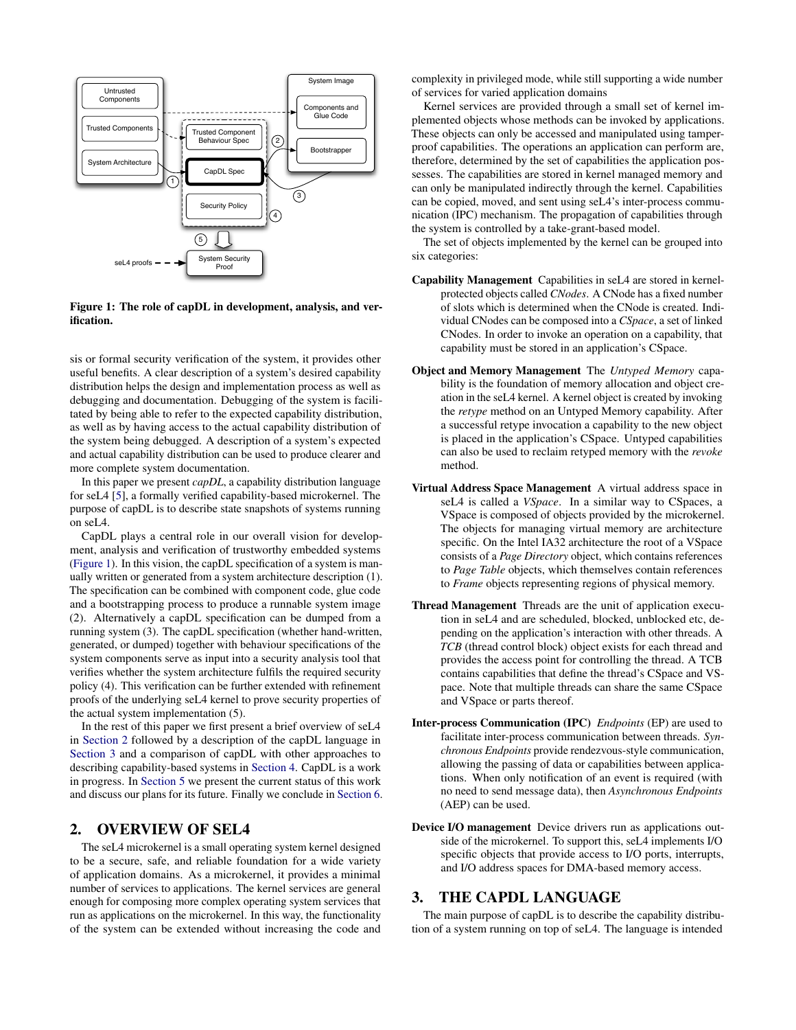

#### <span id="page-1-0"></span>Figure 1: The role of capDL in development, analysis, and verification.

sis or formal security verification of the system, it provides other useful benefits. A clear description of a system's desired capability distribution helps the design and implementation process as well as debugging and documentation. Debugging of the system is facilitated by being able to refer to the expected capability distribution, as well as by having access to the actual capability distribution of the system being debugged. A description of a system's expected and actual capability distribution can be used to produce clearer and more complete system documentation.

In this paper we present *capDL*, a capability distribution language for seL4 [\[5\]](#page-4-4), a formally verified capability-based microkernel. The purpose of capDL is to describe state snapshots of systems running on seL4.

CapDL plays a central role in our overall vision for development, analysis and verification of trustworthy embedded systems [\(Figure 1\)](#page-1-0). In this vision, the capDL specification of a system is manually written or generated from a system architecture description (1). The specification can be combined with component code, glue code and a bootstrapping process to produce a runnable system image (2). Alternatively a capDL specification can be dumped from a running system (3). The capDL specification (whether hand-written, generated, or dumped) together with behaviour specifications of the system components serve as input into a security analysis tool that verifies whether the system architecture fulfils the required security policy (4). This verification can be further extended with refinement proofs of the underlying seL4 kernel to prove security properties of the actual system implementation (5).

In the rest of this paper we first present a brief overview of seL4 in [Section 2](#page-1-1) followed by a description of the capDL language in [Section 3](#page-1-2) and a comparison of capDL with other approaches to describing capability-based systems in [Section 4.](#page-3-0) CapDL is a work in progress. In [Section 5](#page-4-5) we present the current status of this work and discuss our plans for its future. Finally we conclude in [Section 6.](#page-4-6)

# <span id="page-1-1"></span>2. OVERVIEW OF SEL4

The seL4 microkernel is a small operating system kernel designed to be a secure, safe, and reliable foundation for a wide variety of application domains. As a microkernel, it provides a minimal number of services to applications. The kernel services are general enough for composing more complex operating system services that run as applications on the microkernel. In this way, the functionality of the system can be extended without increasing the code and complexity in privileged mode, while still supporting a wide number of services for varied application domains

Kernel services are provided through a small set of kernel implemented objects whose methods can be invoked by applications. These objects can only be accessed and manipulated using tamperproof capabilities. The operations an application can perform are, therefore, determined by the set of capabilities the application possesses. The capabilities are stored in kernel managed memory and can only be manipulated indirectly through the kernel. Capabilities can be copied, moved, and sent using seL4's inter-process communication (IPC) mechanism. The propagation of capabilities through the system is controlled by a take-grant-based model.

The set of objects implemented by the kernel can be grouped into six categories:

- Capability Management Capabilities in seL4 are stored in kernelprotected objects called *CNodes*. A CNode has a fixed number of slots which is determined when the CNode is created. Individual CNodes can be composed into a *CSpace*, a set of linked CNodes. In order to invoke an operation on a capability, that capability must be stored in an application's CSpace.
- Object and Memory Management The *Untyped Memory* capability is the foundation of memory allocation and object creation in the seL4 kernel. A kernel object is created by invoking the *retype* method on an Untyped Memory capability. After a successful retype invocation a capability to the new object is placed in the application's CSpace. Untyped capabilities can also be used to reclaim retyped memory with the *revoke* method.
- Virtual Address Space Management A virtual address space in seL4 is called a *VSpace*. In a similar way to CSpaces, a VSpace is composed of objects provided by the microkernel. The objects for managing virtual memory are architecture specific. On the Intel IA32 architecture the root of a VSpace consists of a *Page Directory* object, which contains references to *Page Table* objects, which themselves contain references to *Frame* objects representing regions of physical memory.
- Thread Management Threads are the unit of application execution in seL4 and are scheduled, blocked, unblocked etc, depending on the application's interaction with other threads. A *TCB* (thread control block) object exists for each thread and provides the access point for controlling the thread. A TCB contains capabilities that define the thread's CSpace and VSpace. Note that multiple threads can share the same CSpace and VSpace or parts thereof.
- Inter-process Communication (IPC) *Endpoints* (EP) are used to facilitate inter-process communication between threads. *Synchronous Endpoints* provide rendezvous-style communication, allowing the passing of data or capabilities between applications. When only notification of an event is required (with no need to send message data), then *Asynchronous Endpoints* (AEP) can be used.
- Device I/O management Device drivers run as applications outside of the microkernel. To support this, seL4 implements I/O specific objects that provide access to I/O ports, interrupts, and I/O address spaces for DMA-based memory access.

### <span id="page-1-2"></span>3. THE CAPDL LANGUAGE

The main purpose of capDL is to describe the capability distribution of a system running on top of seL4. The language is intended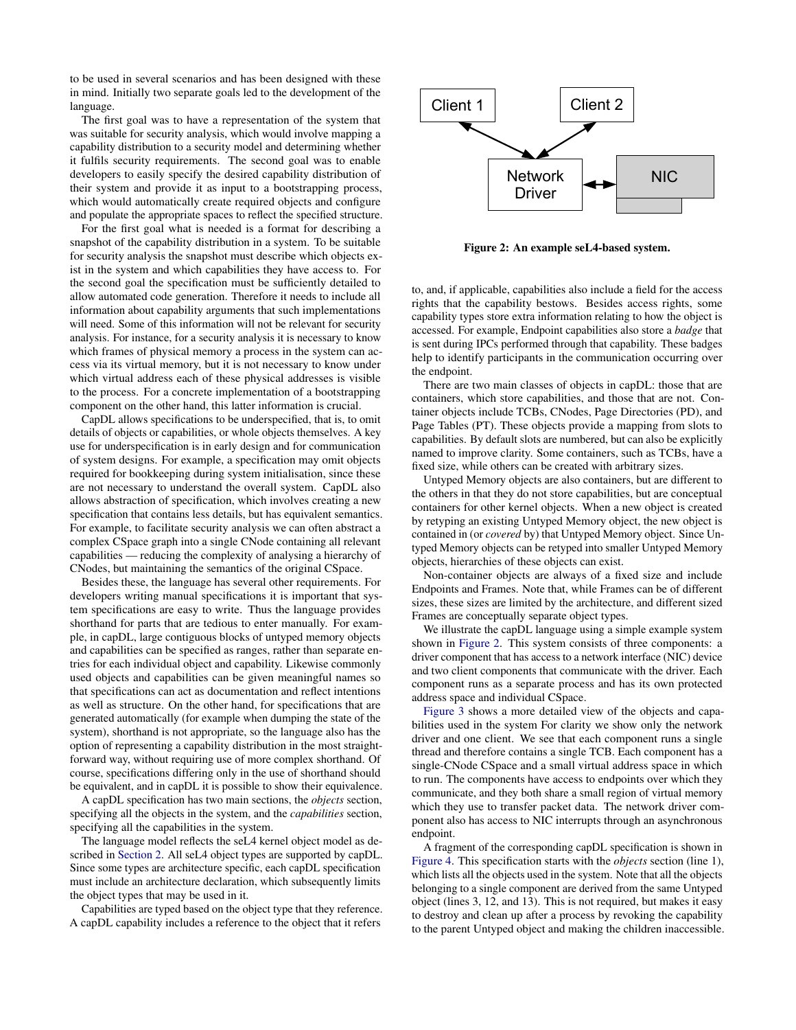to be used in several scenarios and has been designed with these in mind. Initially two separate goals led to the development of the language.

The first goal was to have a representation of the system that was suitable for security analysis, which would involve mapping a capability distribution to a security model and determining whether it fulfils security requirements. The second goal was to enable developers to easily specify the desired capability distribution of their system and provide it as input to a bootstrapping process, which would automatically create required objects and configure and populate the appropriate spaces to reflect the specified structure.

For the first goal what is needed is a format for describing a snapshot of the capability distribution in a system. To be suitable for security analysis the snapshot must describe which objects exist in the system and which capabilities they have access to. For the second goal the specification must be sufficiently detailed to allow automated code generation. Therefore it needs to include all information about capability arguments that such implementations will need. Some of this information will not be relevant for security analysis. For instance, for a security analysis it is necessary to know which frames of physical memory a process in the system can access via its virtual memory, but it is not necessary to know under which virtual address each of these physical addresses is visible to the process. For a concrete implementation of a bootstrapping component on the other hand, this latter information is crucial.

CapDL allows specifications to be underspecified, that is, to omit details of objects or capabilities, or whole objects themselves. A key use for underspecification is in early design and for communication of system designs. For example, a specification may omit objects required for bookkeeping during system initialisation, since these are not necessary to understand the overall system. CapDL also allows abstraction of specification, which involves creating a new specification that contains less details, but has equivalent semantics. For example, to facilitate security analysis we can often abstract a complex CSpace graph into a single CNode containing all relevant capabilities — reducing the complexity of analysing a hierarchy of CNodes, but maintaining the semantics of the original CSpace.

Besides these, the language has several other requirements. For developers writing manual specifications it is important that system specifications are easy to write. Thus the language provides shorthand for parts that are tedious to enter manually. For example, in capDL, large contiguous blocks of untyped memory objects and capabilities can be specified as ranges, rather than separate entries for each individual object and capability. Likewise commonly used objects and capabilities can be given meaningful names so that specifications can act as documentation and reflect intentions as well as structure. On the other hand, for specifications that are generated automatically (for example when dumping the state of the system), shorthand is not appropriate, so the language also has the option of representing a capability distribution in the most straightforward way, without requiring use of more complex shorthand. Of course, specifications differing only in the use of shorthand should be equivalent, and in capDL it is possible to show their equivalence.

A capDL specification has two main sections, the *objects* section, specifying all the objects in the system, and the *capabilities* section, specifying all the capabilities in the system.

The language model reflects the seL4 kernel object model as described in [Section 2.](#page-1-1) All seL4 object types are supported by capDL. Since some types are architecture specific, each capDL specification must include an architecture declaration, which subsequently limits the object types that may be used in it.

Capabilities are typed based on the object type that they reference. A capDL capability includes a reference to the object that it refers



<span id="page-2-0"></span>Figure 2: An example seL4-based system.

to, and, if applicable, capabilities also include a field for the access rights that the capability bestows. Besides access rights, some capability types store extra information relating to how the object is accessed. For example, Endpoint capabilities also store a *badge* that is sent during IPCs performed through that capability. These badges help to identify participants in the communication occurring over the endpoint.

There are two main classes of objects in capDL: those that are containers, which store capabilities, and those that are not. Container objects include TCBs, CNodes, Page Directories (PD), and Page Tables (PT). These objects provide a mapping from slots to capabilities. By default slots are numbered, but can also be explicitly named to improve clarity. Some containers, such as TCBs, have a fixed size, while others can be created with arbitrary sizes.

Untyped Memory objects are also containers, but are different to the others in that they do not store capabilities, but are conceptual containers for other kernel objects. When a new object is created by retyping an existing Untyped Memory object, the new object is contained in (or *covered* by) that Untyped Memory object. Since Untyped Memory objects can be retyped into smaller Untyped Memory objects, hierarchies of these objects can exist.

Non-container objects are always of a fixed size and include Endpoints and Frames. Note that, while Frames can be of different sizes, these sizes are limited by the architecture, and different sized Frames are conceptually separate object types.

We illustrate the capDL language using a simple example system shown in [Figure 2.](#page-2-0) This system consists of three components: a driver component that has access to a network interface (NIC) device and two client components that communicate with the driver. Each component runs as a separate process and has its own protected address space and individual CSpace.

[Figure 3](#page-3-1) shows a more detailed view of the objects and capabilities used in the system For clarity we show only the network driver and one client. We see that each component runs a single thread and therefore contains a single TCB. Each component has a single-CNode CSpace and a small virtual address space in which to run. The components have access to endpoints over which they communicate, and they both share a small region of virtual memory which they use to transfer packet data. The network driver component also has access to NIC interrupts through an asynchronous endpoint.

A fragment of the corresponding capDL specification is shown in [Figure 4.](#page-3-2) This specification starts with the *objects* section (line 1), which lists all the objects used in the system. Note that all the objects belonging to a single component are derived from the same Untyped object (lines 3, 12, and 13). This is not required, but makes it easy to destroy and clean up after a process by revoking the capability to the parent Untyped object and making the children inaccessible.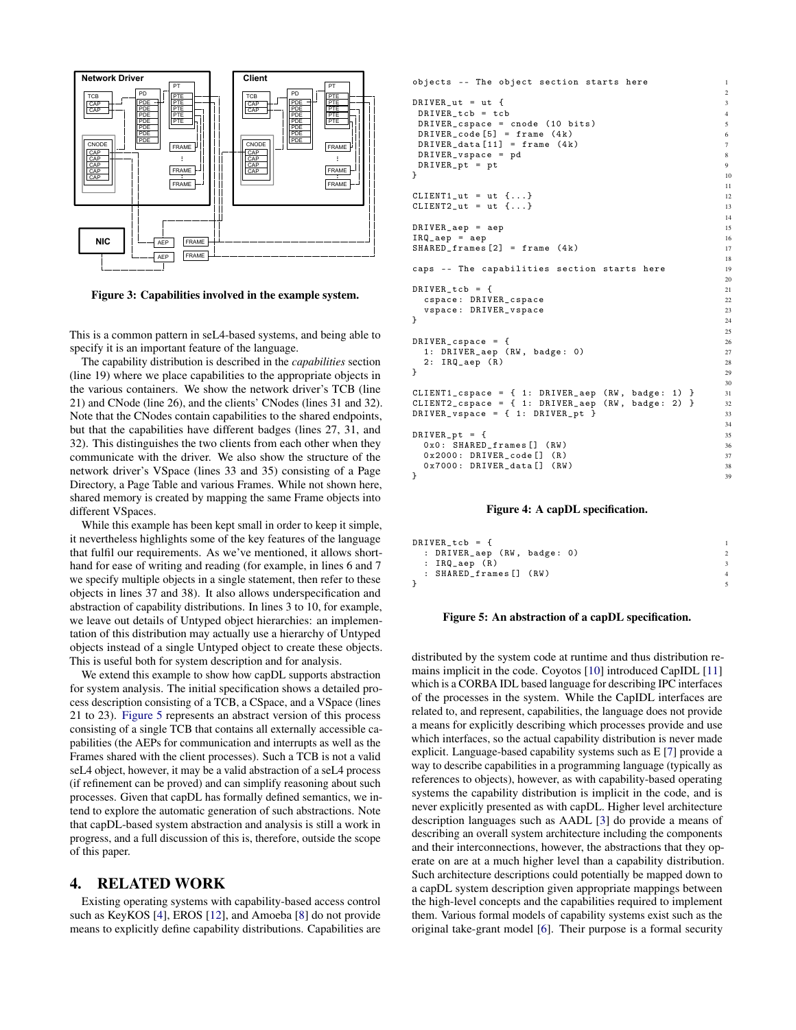

<span id="page-3-1"></span>Figure 3: Capabilities involved in the example system.

This is a common pattern in seL4-based systems, and being able to specify it is an important feature of the language.

The capability distribution is described in the *capabilities* section (line 19) where we place capabilities to the appropriate objects in the various containers. We show the network driver's TCB (line 21) and CNode (line 26), and the clients' CNodes (lines 31 and 32). Note that the CNodes contain capabilities to the shared endpoints, but that the capabilities have different badges (lines 27, 31, and 32). This distinguishes the two clients from each other when they communicate with the driver. We also show the structure of the network driver's VSpace (lines 33 and 35) consisting of a Page Directory, a Page Table and various Frames. While not shown here, shared memory is created by mapping the same Frame objects into different VSpaces.

While this example has been kept small in order to keep it simple, it nevertheless highlights some of the key features of the language that fulfil our requirements. As we've mentioned, it allows shorthand for ease of writing and reading (for example, in lines 6 and 7 we specify multiple objects in a single statement, then refer to these objects in lines 37 and 38). It also allows underspecification and abstraction of capability distributions. In lines 3 to 10, for example, we leave out details of Untyped object hierarchies: an implementation of this distribution may actually use a hierarchy of Untyped objects instead of a single Untyped object to create these objects. This is useful both for system description and for analysis.

We extend this example to show how capDL supports abstraction for system analysis. The initial specification shows a detailed process description consisting of a TCB, a CSpace, and a VSpace (lines 21 to 23). [Figure 5](#page-3-3) represents an abstract version of this process consisting of a single TCB that contains all externally accessible capabilities (the AEPs for communication and interrupts as well as the Frames shared with the client processes). Such a TCB is not a valid seL4 object, however, it may be a valid abstraction of a seL4 process (if refinement can be proved) and can simplify reasoning about such processes. Given that capDL has formally defined semantics, we intend to explore the automatic generation of such abstractions. Note that capDL-based system abstraction and analysis is still a work in progress, and a full discussion of this is, therefore, outside the scope of this paper.

#### <span id="page-3-0"></span>4. RELATED WORK

Existing operating systems with capability-based access control such as KeyKOS [\[4\]](#page-4-7), EROS [\[12\]](#page-4-8), and Amoeba [\[8\]](#page-4-9) do not provide means to explicitly define capability distributions. Capabilities are

```
objects -- The object section starts here
DRIVER_{ut} = ut {
DRIVER tcb = tcbDRIVER_cspace = cnode (10 bits)<br>DRIVER code [5] = frame (4k) 6
DRIVER_code [5] = frame (4k)DRIVER\_data [11] = frame (4k) 7
DRIVER_vspace = pd 8
DRIVER_pt = pt}
                                      11
CLIENT1\_ut = ut \{ \dots \} 12
CLIENT2<sub>-ut</sub> = ut \{ \ldots \} 13
                                      14
DRIVER_aep = aep 15
IRQ_aep = aep 16
SHAREN_frames [2] = frame (4k)18
caps -- The capabilities section starts here 19
                                     20
DRIVER\_tcb = {cspace : DRIVER_cspace 22
 vspace: DRIVER_vspace 23
} 24
                                     25
DRIVER_cspace = {\frac{26}{25} 1: DRIVER aep (RW, badge: 0) \frac{26}{27}1: DRIVER_aep (RW, badge: 0)
 2: IRQ_aep (R) 28
} 29
                                      30
CLIENT1_cspace = { 1: DRIVER_aep (RW, badge: 1) } 31
CLIENT2_cspace = { 1: DRIVER_aep (RW, badge: 2) } 32<br>DRIVER vspace = { 1: DRIVER pt } 33
DRIVER\_vspace = { 1: DRIVER_p t }34
DRIVER\_pt = {0 x 0 : SHARED_frames [] (RW) 36<br>0 x 2000 : DRIVER_code [] (R) 37
 0 x 2000 : DRIVER_code [] (R) 37<br>0 x 7000 : DRIVER data [] (RW) 38
 0x7000: DRIVER_data [] (RW)
} 39
```
#### <span id="page-3-2"></span>Figure 4: A capDL specification.

```
DRIVER tcb = f: DRIVER_aep (RW, badge: 0) 2
: IRQ_aep(R) 3
: SHARED_frames [] ( RW ) 4
\} 5
```
#### <span id="page-3-3"></span>Figure 5: An abstraction of a capDL specification.

distributed by the system code at runtime and thus distribution remains implicit in the code. Coyotos [\[10\]](#page-4-10) introduced CapIDL [\[11\]](#page-4-11) which is a CORBA IDL based language for describing IPC interfaces of the processes in the system. While the CapIDL interfaces are related to, and represent, capabilities, the language does not provide a means for explicitly describing which processes provide and use which interfaces, so the actual capability distribution is never made explicit. Language-based capability systems such as E [\[7\]](#page-4-12) provide a way to describe capabilities in a programming language (typically as references to objects), however, as with capability-based operating systems the capability distribution is implicit in the code, and is never explicitly presented as with capDL. Higher level architecture description languages such as AADL [\[3\]](#page-4-13) do provide a means of describing an overall system architecture including the components and their interconnections, however, the abstractions that they operate on are at a much higher level than a capability distribution. Such architecture descriptions could potentially be mapped down to a capDL system description given appropriate mappings between the high-level concepts and the capabilities required to implement them. Various formal models of capability systems exist such as the original take-grant model [\[6\]](#page-4-2). Their purpose is a formal security